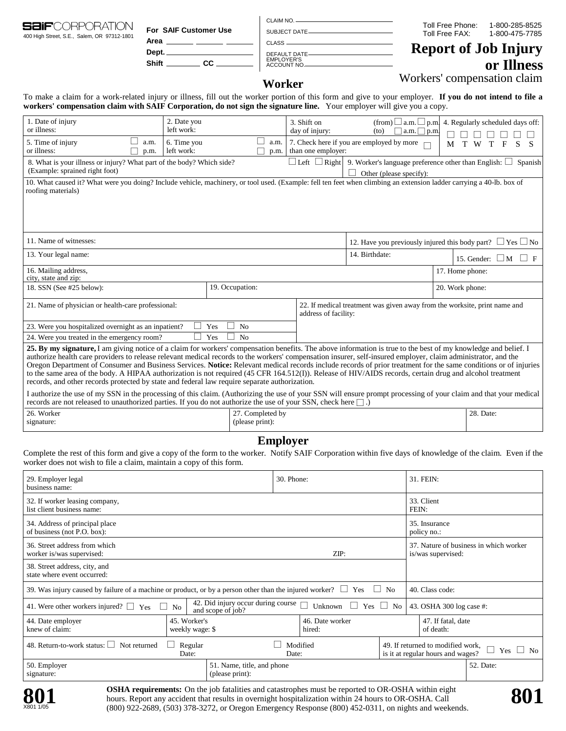|                                                                        |                               | CLAIM NO. -                      |                                    |                                  |
|------------------------------------------------------------------------|-------------------------------|----------------------------------|------------------------------------|----------------------------------|
| <b>SaiF</b> CORPORATION<br>400 High Street, S.E., Salem, OR 97312-1801 | For SAIF Customer Use<br>Area | <b>SUBJECT DATE-</b>             | Toll Free Phone:<br>Toll Free FAX: | 1-800-285-8525<br>1-800-475-7785 |
|                                                                        |                               | <b>CLASS</b>                     |                                    |                                  |
|                                                                        | Dept.                         | <b>DEFAULT DATE-</b>             | <b>Report of Job Injury</b>        |                                  |
|                                                                        | <b>Shift</b><br>CC            | <b>EMPLOYER'S</b><br>ACCOUNT NO. |                                    | or Illness                       |

**Worker** Workers' compensation claim

To make a claim for a work-related injury or illness, fill out the worker portion of this form and give to your employer. **If you do not intend to file a workers' compensation claim with SAIF Corporation, do not sign the signature line.** Your employer will give you a copy.

| 1. Date of injury<br>or illness:                                                                                                                                                                                                                                                                                                                                                                                                                                                                                                                                                                                                                                                                                                                                | 2. Date you<br>left work: |                                     | 3. Shift on<br>day of injury:                                                                     | $(from)$ a.m. $\Box$ p.m.<br>(to)<br>$a.m. \Box p.m.$                                            |                 | 4. Regularly scheduled days off: |          |          |
|-----------------------------------------------------------------------------------------------------------------------------------------------------------------------------------------------------------------------------------------------------------------------------------------------------------------------------------------------------------------------------------------------------------------------------------------------------------------------------------------------------------------------------------------------------------------------------------------------------------------------------------------------------------------------------------------------------------------------------------------------------------------|---------------------------|-------------------------------------|---------------------------------------------------------------------------------------------------|--------------------------------------------------------------------------------------------------|-----------------|----------------------------------|----------|----------|
| 5. Time of injury<br>a.m.<br>or illness:<br>p.m.                                                                                                                                                                                                                                                                                                                                                                                                                                                                                                                                                                                                                                                                                                                | 6. Time you<br>left work: | a.m.<br>p.m.                        | than one employer:                                                                                | 7. Check here if you are employed by more                                                        | M               | т                                |          |          |
| 8. What is your illness or injury? What part of the body? Which side?<br>(Example: sprained right foot)                                                                                                                                                                                                                                                                                                                                                                                                                                                                                                                                                                                                                                                         |                           |                                     | $\Box$ Left $\Box$ Right                                                                          | 9. Worker's language preference other than English: $\Box$<br>Spanish<br>Other (please specify): |                 |                                  |          |          |
| 10. What caused it? What were you doing? Include vehicle, machinery, or tool used. (Example: fell ten feet when climbing an extension ladder carrying a 40-lb, box of<br>roofing materials)                                                                                                                                                                                                                                                                                                                                                                                                                                                                                                                                                                     |                           |                                     |                                                                                                   |                                                                                                  |                 |                                  |          |          |
|                                                                                                                                                                                                                                                                                                                                                                                                                                                                                                                                                                                                                                                                                                                                                                 |                           |                                     |                                                                                                   |                                                                                                  |                 |                                  |          |          |
|                                                                                                                                                                                                                                                                                                                                                                                                                                                                                                                                                                                                                                                                                                                                                                 |                           |                                     |                                                                                                   |                                                                                                  |                 |                                  |          |          |
| 11. Name of witnesses:                                                                                                                                                                                                                                                                                                                                                                                                                                                                                                                                                                                                                                                                                                                                          |                           |                                     |                                                                                                   | 12. Have you previously injured this body part? $\Box$ Yes $\Box$ No                             |                 |                                  |          |          |
| 13. Your legal name:                                                                                                                                                                                                                                                                                                                                                                                                                                                                                                                                                                                                                                                                                                                                            |                           |                                     |                                                                                                   | 14. Birthdate:<br>15. Gender:                                                                    |                 |                                  | $\Box M$ | $\Box$ F |
| 16. Mailing address,<br>city, state and zip:                                                                                                                                                                                                                                                                                                                                                                                                                                                                                                                                                                                                                                                                                                                    |                           |                                     |                                                                                                   |                                                                                                  | 17. Home phone: |                                  |          |          |
| 18. SSN (See #25 below):                                                                                                                                                                                                                                                                                                                                                                                                                                                                                                                                                                                                                                                                                                                                        | 19. Occupation:           |                                     |                                                                                                   |                                                                                                  | 20. Work phone: |                                  |          |          |
| 21. Name of physician or health-care professional:                                                                                                                                                                                                                                                                                                                                                                                                                                                                                                                                                                                                                                                                                                              |                           |                                     | 22. If medical treatment was given away from the worksite, print name and<br>address of facility: |                                                                                                  |                 |                                  |          |          |
| 23. Were you hospitalized overnight as an inpatient?                                                                                                                                                                                                                                                                                                                                                                                                                                                                                                                                                                                                                                                                                                            |                           |                                     |                                                                                                   |                                                                                                  |                 |                                  |          |          |
| Yes<br>N <sub>0</sub><br>24. Were you treated in the emergency room?                                                                                                                                                                                                                                                                                                                                                                                                                                                                                                                                                                                                                                                                                            |                           |                                     |                                                                                                   |                                                                                                  |                 |                                  |          |          |
| 25. By my signature, I am giving notice of a claim for workers' compensation benefits. The above information is true to the best of my knowledge and belief. I<br>authorize health care providers to release relevant medical records to the workers' compensation insurer, self-insured employer, claim administrator, and the<br>Oregon Department of Consumer and Business Services. Notice: Relevant medical records include records of prior treatment for the same conditions or of injuries<br>to the same area of the body. A HIPAA authorization is not required (45 CFR 164.512(I)). Release of HIV/AIDS records, certain drug and alcohol treatment<br>records, and other records protected by state and federal law require separate authorization. |                           |                                     |                                                                                                   |                                                                                                  |                 |                                  |          |          |
| I authorize the use of my SSN in the processing of this claim. (Authorizing the use of your SSN will ensure prompt processing of your claim and that your medical<br>records are not released to unauthorized parties. If you do not authorize the use of your SSN, check here $\Box$ .)                                                                                                                                                                                                                                                                                                                                                                                                                                                                        |                           |                                     |                                                                                                   |                                                                                                  |                 |                                  |          |          |
| 26. Worker<br>signature:                                                                                                                                                                                                                                                                                                                                                                                                                                                                                                                                                                                                                                                                                                                                        |                           | 27. Completed by<br>(please print): |                                                                                                   |                                                                                                  |                 | 28. Date:                        |          |          |

# **Employer**

Complete the rest of this form and give a copy of the form to the worker. Notify SAIF Corporation within five days of knowledge of the claim. Even if the worker does not wish to file a claim, maintain a copy of this form.

| 29. Employer legal<br>business name:                                                                                                                                                  |                                 |                   |                           | 30. Phone:                                                                                                                                                                                                                                                                                                                   |                                                                                         |                 | 31. FEIN:  |  |  |
|---------------------------------------------------------------------------------------------------------------------------------------------------------------------------------------|---------------------------------|-------------------|---------------------------|------------------------------------------------------------------------------------------------------------------------------------------------------------------------------------------------------------------------------------------------------------------------------------------------------------------------------|-----------------------------------------------------------------------------------------|-----------------|------------|--|--|
| 32. If worker leasing company,<br>list client business name:                                                                                                                          |                                 |                   |                           |                                                                                                                                                                                                                                                                                                                              |                                                                                         | FEIN:           | 33. Client |  |  |
| 34. Address of principal place<br>of business (not P.O. box):                                                                                                                         |                                 |                   |                           |                                                                                                                                                                                                                                                                                                                              | 35. Insurance<br>policy no.:                                                            |                 |            |  |  |
| 36. Street address from which<br>worker is/was supervised:<br>ZIP:                                                                                                                    |                                 |                   |                           |                                                                                                                                                                                                                                                                                                                              | 37. Nature of business in which worker<br>is/was supervised:                            |                 |            |  |  |
| 38. Street address, city, and<br>state where event occurred:                                                                                                                          |                                 |                   |                           |                                                                                                                                                                                                                                                                                                                              |                                                                                         |                 |            |  |  |
| 39. Was injury caused by failure of a machine or product, or by a person other than the injured worker? $\Box$ Yes<br>No<br>$\perp$                                                   |                                 |                   |                           |                                                                                                                                                                                                                                                                                                                              |                                                                                         | 40. Class code: |            |  |  |
| 42. Did injury occur during course<br>П<br>Yes $\Box$<br>41. Were other workers injured? $\Box$ Yes<br>Unknown<br>No<br>43. OSHA 300 log case #:<br>$\Box$<br>No<br>and scope of job? |                                 |                   |                           |                                                                                                                                                                                                                                                                                                                              |                                                                                         |                 |            |  |  |
| 44. Date employer<br>knew of claim:                                                                                                                                                   | 45. Worker's<br>weekly wage: \$ |                   | 46. Date worker<br>hired: |                                                                                                                                                                                                                                                                                                                              | 47. If fatal, date<br>of death:                                                         |                 |            |  |  |
| 48. Return-to-work status: $\Box$ Not returned<br>Regular<br>Date:                                                                                                                    |                                 | Modified<br>Date: |                           |                                                                                                                                                                                                                                                                                                                              | 49. If returned to modified work,<br>Yes $\Box$ No<br>is it at regular hours and wages? |                 |            |  |  |
| 50. Employer<br>51. Name, title, and phone<br>(please print):<br>signature:                                                                                                           |                                 |                   |                           |                                                                                                                                                                                                                                                                                                                              |                                                                                         |                 | 52. Date:  |  |  |
| X801 1/05                                                                                                                                                                             |                                 |                   |                           | <b>OSHA requirements:</b> On the job fatalities and catastrophes must be reported to OR-OSHA within eight<br>hours. Report any accident that results in overnight hospitalization within 24 hours to OR-OSHA. Call<br>$(900)$ 022 2690 $(502)$ 279 2272 or Oragon Emergency Bespense $(900)$ 452 0211 on pickts and weakends |                                                                                         |                 |            |  |  |